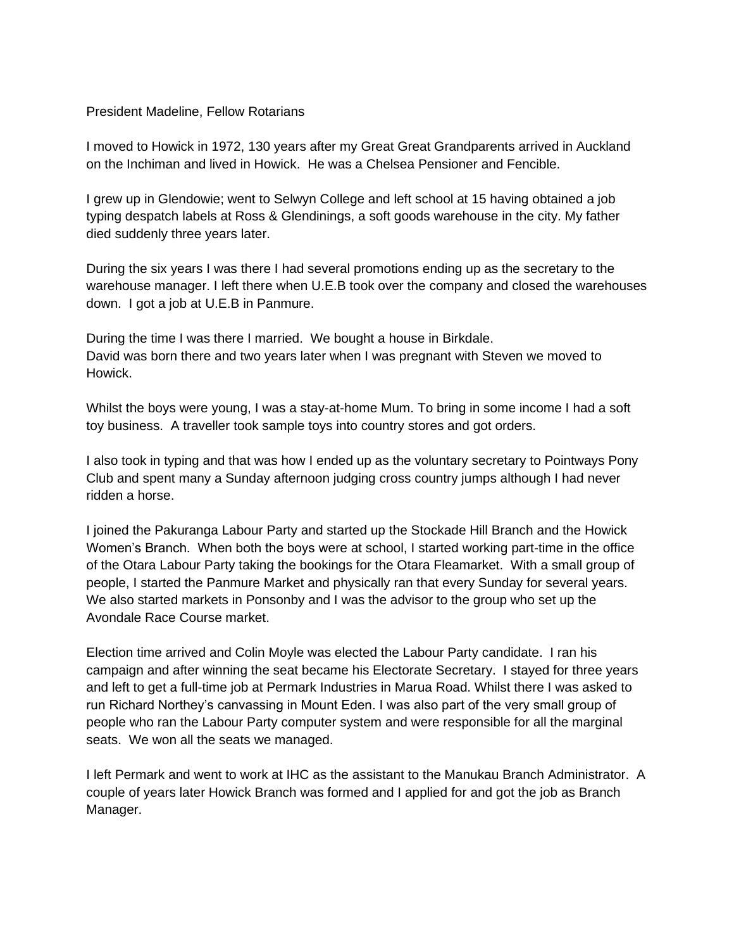## President Madeline, Fellow Rotarians

I moved to Howick in 1972, 130 years after my Great Great Grandparents arrived in Auckland on the Inchiman and lived in Howick. He was a Chelsea Pensioner and Fencible.

I grew up in Glendowie; went to Selwyn College and left school at 15 having obtained a job typing despatch labels at Ross & Glendinings, a soft goods warehouse in the city. My father died suddenly three years later.

During the six years I was there I had several promotions ending up as the secretary to the warehouse manager. I left there when U.E.B took over the company and closed the warehouses down. I got a job at U.E.B in Panmure.

During the time I was there I married. We bought a house in Birkdale. David was born there and two years later when I was pregnant with Steven we moved to Howick.

Whilst the boys were young, I was a stay-at-home Mum. To bring in some income I had a soft toy business. A traveller took sample toys into country stores and got orders.

I also took in typing and that was how I ended up as the voluntary secretary to Pointways Pony Club and spent many a Sunday afternoon judging cross country jumps although I had never ridden a horse.

I joined the Pakuranga Labour Party and started up the Stockade Hill Branch and the Howick Women's Branch. When both the boys were at school, I started working part-time in the office of the Otara Labour Party taking the bookings for the Otara Fleamarket. With a small group of people, I started the Panmure Market and physically ran that every Sunday for several years. We also started markets in Ponsonby and I was the advisor to the group who set up the Avondale Race Course market.

Election time arrived and Colin Moyle was elected the Labour Party candidate. I ran his campaign and after winning the seat became his Electorate Secretary. I stayed for three years and left to get a full-time job at Permark Industries in Marua Road. Whilst there I was asked to run Richard Northey's canvassing in Mount Eden. I was also part of the very small group of people who ran the Labour Party computer system and were responsible for all the marginal seats. We won all the seats we managed.

I left Permark and went to work at IHC as the assistant to the Manukau Branch Administrator. A couple of years later Howick Branch was formed and I applied for and got the job as Branch Manager.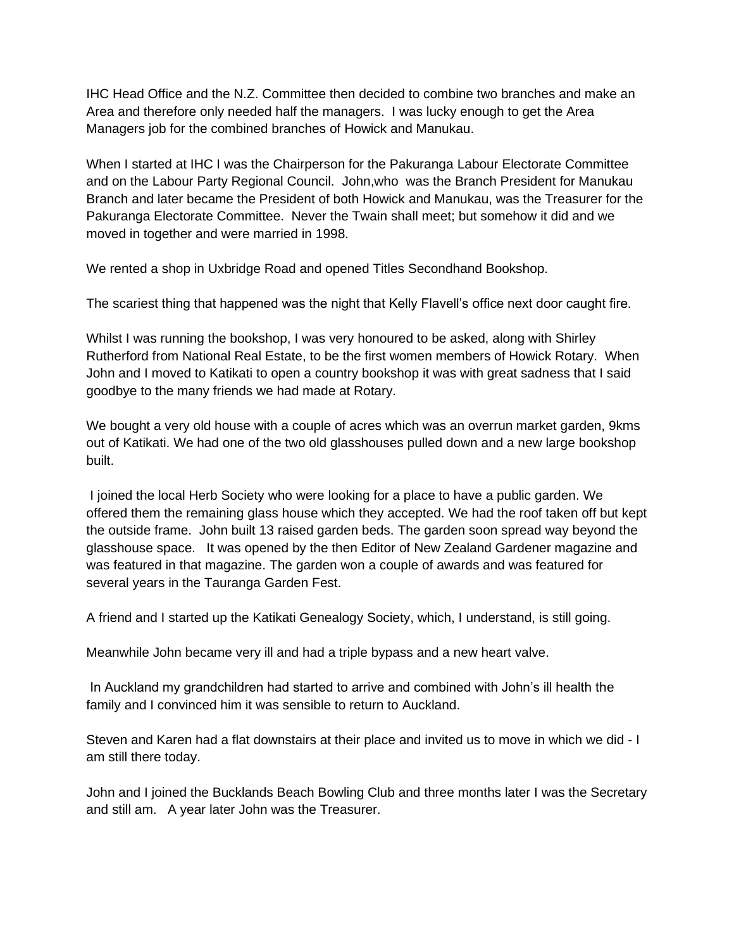IHC Head Office and the N.Z. Committee then decided to combine two branches and make an Area and therefore only needed half the managers. I was lucky enough to get the Area Managers job for the combined branches of Howick and Manukau.

When I started at IHC I was the Chairperson for the Pakuranga Labour Electorate Committee and on the Labour Party Regional Council. John,who was the Branch President for Manukau Branch and later became the President of both Howick and Manukau, was the Treasurer for the Pakuranga Electorate Committee. Never the Twain shall meet; but somehow it did and we moved in together and were married in 1998.

We rented a shop in Uxbridge Road and opened Titles Secondhand Bookshop.

The scariest thing that happened was the night that Kelly Flavell's office next door caught fire.

Whilst I was running the bookshop, I was very honoured to be asked, along with Shirley Rutherford from National Real Estate, to be the first women members of Howick Rotary. When John and I moved to Katikati to open a country bookshop it was with great sadness that I said goodbye to the many friends we had made at Rotary.

We bought a very old house with a couple of acres which was an overrun market garden, 9kms out of Katikati. We had one of the two old glasshouses pulled down and a new large bookshop built.

I joined the local Herb Society who were looking for a place to have a public garden. We offered them the remaining glass house which they accepted. We had the roof taken off but kept the outside frame. John built 13 raised garden beds. The garden soon spread way beyond the glasshouse space. It was opened by the then Editor of New Zealand Gardener magazine and was featured in that magazine. The garden won a couple of awards and was featured for several years in the Tauranga Garden Fest.

A friend and I started up the Katikati Genealogy Society, which, I understand, is still going.

Meanwhile John became very ill and had a triple bypass and a new heart valve.

In Auckland my grandchildren had started to arrive and combined with John's ill health the family and I convinced him it was sensible to return to Auckland.

Steven and Karen had a flat downstairs at their place and invited us to move in which we did - I am still there today.

John and I joined the Bucklands Beach Bowling Club and three months later I was the Secretary and still am. A year later John was the Treasurer.